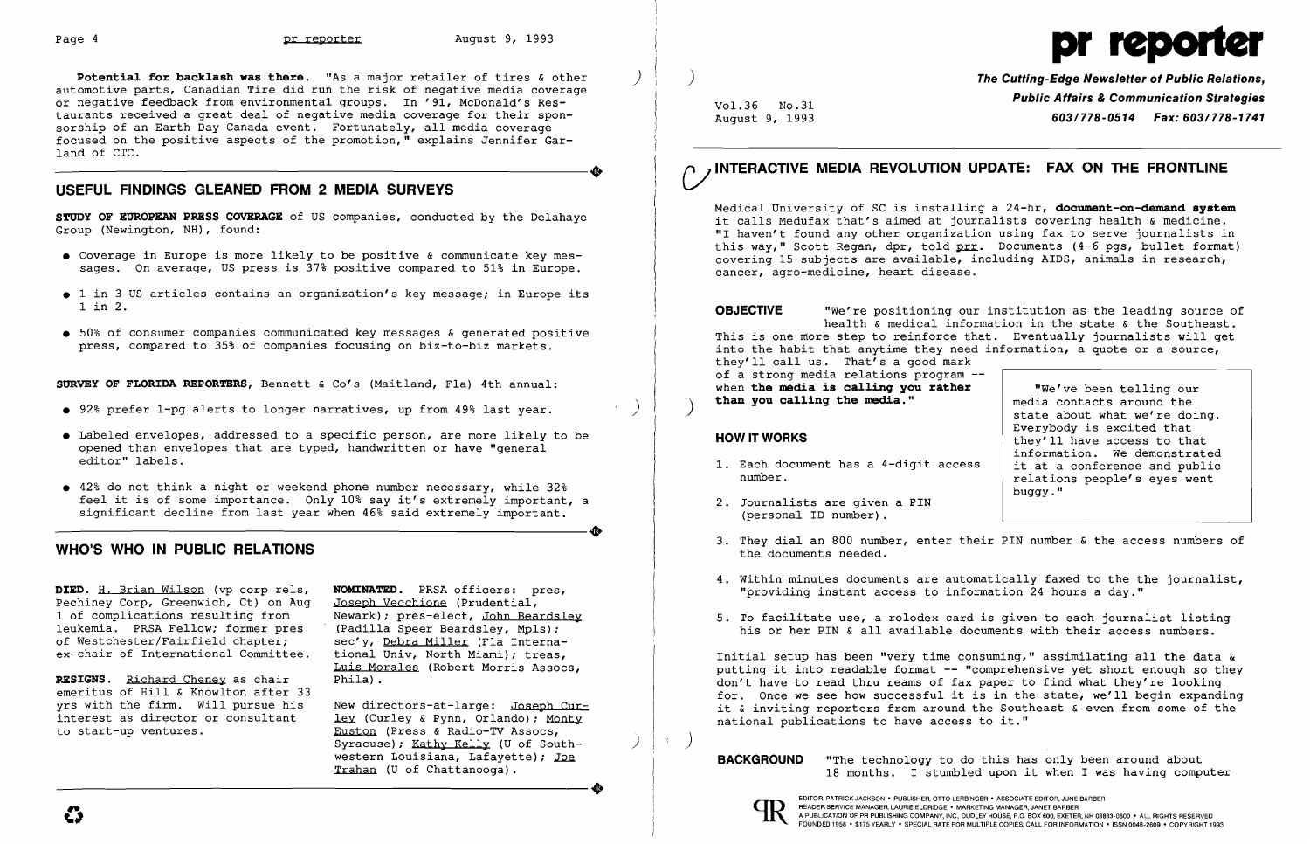**Potential for backlash was there.** "As a major retailer of tires & other automotive parts, Canadian Tire did run the risk of negative media coverage or negative feedback from environmental groups. In '91, McDonald's Restaurants received a great deal of negative media coverage for their sponsorship of an Earth Day Canada event. Fortunately, all media coverage focused on the positive aspects of the promotion," explains Jennifer Gar-----------------------+ land of CTC.

- • Coverage in Europe is more likely to be positive & communicate key mes sages. On average, US press is 37% positive compared to 51% in Europe.
- 1 in 3 US articles contains an organization's key message; in Europe its <sup>1</sup>in 2.
- 50% of consumer companies communicated key messages & generated positive press, compared to 35% of companies focusing on biz-to-biz markets.

### **USEFUL FINDINGS GLEANED FROM 2 MEDIA SURVEYS**

**STUDY OF EUROPEAN PRESS COVERAGE** of US companies, conducted by the Delahaye Group (Newington, NH), found:

**SURVEY OF FLORIDA REPORTERS,**  Bennett & Co's (Maitland, Fla) 4th annual:

- 92% prefer 1-pg alerts to longer narratives, up from 49% last year.
- • Labeled envelopes, addressed to a specific person, are more likely to be opened than envelopes that are typed, handwritten or have "general editor" labels.
- • 42% do not think a night or weekend phone number necessary, while 32% feel it is of some importance. Only 10% say it's extremely important, a significant decline from last year when 46% said extremely important. Feel it is of some importance. Only 10% say it's extremely important, a significant decline from last year when 46% said extremely important.

New directors-at-large: Joseph Cur ley (Curley & Pynn, Orlando); Monty Euston (Press & Radio-TV Assocs, Syracuse); Kathy Kelly (U of South-<br>western Louisiana, Lafayette); Joe extern Louisiana, Lafayette); Joe<br>western Louisiana, Lafayette); Joe<br>Trahan (U of Chattanooga).

Medical University of SC is installing a  $24-hr$ , document-on-demand system it calls Medufax that's aimed at journalists covering health & medicine. "I haven't found any other organization using fax to serve journalists in this way," Scott Regan, dpr, told prr. Documents (4-6 pgs, bullet format) covering 15 subjects are available, including AIDS, animals in research, cancer, agro-medicine, heart disease.

### **WHO'S WHO IN PUBLIC RELATIONS**

**DIED.** H, Brian Wilson (vp corp rels, Pechiney Corp, Greenwich, Ct) on Aug 1 of complications resulting from leukemia. PRSA Fellow; former pres of Westchester/Fairfield chapter; ex-chair of International Committee.

**RESIGNS.** Richard Cheney as chair emeritus of Hill & Knowlton after 33 yrs with the firm. Will pursue his interest as director or consultant to start-up ventures.

- 1. Each document has a 4-digit access number.
- 2. Journalists are given a PIN (personal ID number) .
- 3. They dial an 800 number, enter their PIN number & the access numbers of the documents needed.
- "providing instant access to information 24 hours a day."
- 

**NOMINATED.** PRSA officers: pres, Joseph Vecchione (Prudential, Newark); pres-elect, John Beardsley (Padilla Speer Beardsley, Mpls); sec'y, Debra Miller (Fla International Univ, North Miami); treas, Luis Morales (Robert Morris Assocs, Phila) .

)

)

) **The Cutting-Edge Newsletter of Public Relations,**  Vol. 36 No. 31 **Public Affairs & Communication Strategies**  August 9, 1993 *603/778-0514 Fax: 603/778-1741* 

# C/ **INTERACTIVE MEDIA REVOLUTION UPDATE: FAX ON THE FRONTLINE**

**OBJECTIVE** "We're positioning our institution as the leading source of health & medical information in the state & the Southeast. This is one more step to reinforce that. Eventually journalists will get into the habit that anytime they need information, a quote or a source, they'll call us. That's a good mark of a strong media relations program -when the media is calling you rather **than you callinq the media."** ) "We've been telling our

### HOW IT WORKS

media contacts around the state about what we're doing. Everybody is excited that they'll have access to that information. We demonstrated it at a conference and public relations people's eyes went buggy."

4. Within minutes documents are automatically faxed to the the journalist,

5. To facilitate use, a rolodex card is given to each journalist listing his or her PIN & all available documents with their access numbers.

Initial setup has been "very time consuming," assimilating all the data & putting it into readable format **--** "comprehensive yet short enough so they don't have to read thru reams of fax paper to find what they're looking for, Once we see how successful it is in the state, we'll begin expanding it  $\&$  inviting reporters from around the Southeast  $\&$  even from some of the national publications to have access to it."

 $\rightarrow$  )

western Louisiana, Lafayette); Joe **BACKGROUND** "The technology to do this has only been around about **"The technology of the set of the set of the set of the set of the set of the set of the set of the set of the set of t**  $18$  months. I stumbled upon it when I was having computer



# Page 4 **pr reporter** August 9, 1993